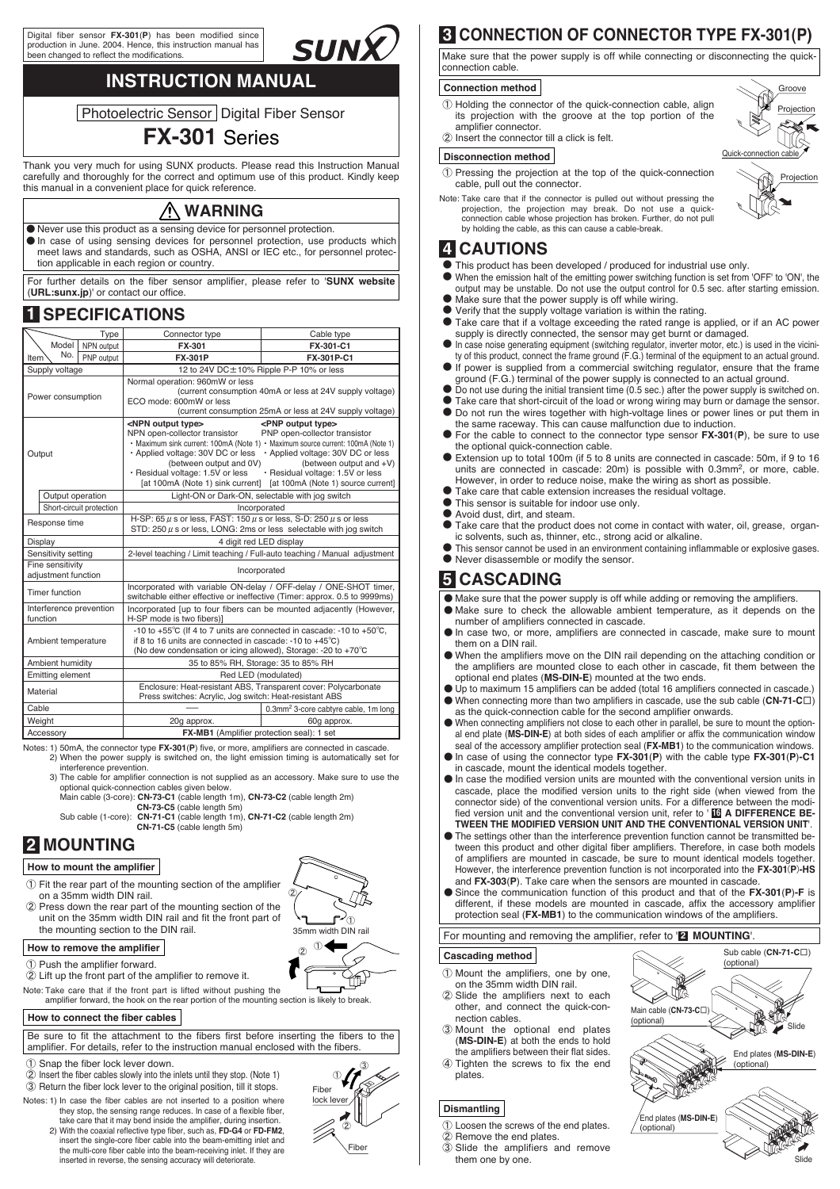Digital fiber sensor **FX-301**(**P**) has been modified since production in June. 2004. Hence, this instruction manual has been changed to reflect the modification

## **INSTRUCTION MANUAL**

SUNX

**Photoelectric Sensor Digital Fiber Sensor** 

### **FX-301** Series

Thank you very much for using SUNX products. Please read this Instruction Manual carefully and thoroughly for the correct and optimum use of this product. Kindly keep this manual in a convenient place for quick reference.

**WARNING**

٨ Never use this product as a sensing device for personnel protection.  $\bullet$  In case of using sensing devices for personnel protection, use products which meet laws and standards, such as OSHA, ANSI or IEC etc., for personnel protection applicable in each region or country.

For further details on the fiber sensor amplifier, please refer to '**SUNX website** (**URL:sunx.jp**)' or contact our office.

### **1 SPECIFICATIONS**

|                                         | Type                     | Connector type                                                                                                                                                                                                                                                                                                                                                                                                                                                                                              | Cable type                                       |  |  |  |  |
|-----------------------------------------|--------------------------|-------------------------------------------------------------------------------------------------------------------------------------------------------------------------------------------------------------------------------------------------------------------------------------------------------------------------------------------------------------------------------------------------------------------------------------------------------------------------------------------------------------|--------------------------------------------------|--|--|--|--|
| Model  <br>NPN output                   |                          | <b>FX-301</b>                                                                                                                                                                                                                                                                                                                                                                                                                                                                                               | FX-301-C1                                        |  |  |  |  |
| No.<br>Item                             | PNP output               | <b>FX-301P</b>                                                                                                                                                                                                                                                                                                                                                                                                                                                                                              | FX-301P-C1                                       |  |  |  |  |
| Supply voltage                          |                          | 12 to 24V DC±10% Ripple P-P 10% or less                                                                                                                                                                                                                                                                                                                                                                                                                                                                     |                                                  |  |  |  |  |
| Power consumption                       |                          | Normal operation: 960mW or less<br>(current consumption 40mA or less at 24V supply voltage)<br>ECO mode: 600mW or less<br>(current consumption 25mA or less at 24V supply voltage)                                                                                                                                                                                                                                                                                                                          |                                                  |  |  |  |  |
| Output                                  |                          | <npn output="" type=""><br/><pnp output="" type=""><br/>NPN open-collector transistor<br/>PNP open-collector transistor<br/>• Maximum sink current: 100mA (Note 1) • Maximum source current: 100mA (Note 1)<br/>Applied voltage: 30V DC or less<br/>· Applied voltage: 30V DC or less<br/>(between output and 0V)<br/>(between output and +V)<br/>· Residual voltage: 1.5V or less<br/>· Residual voltage: 1.5V or less<br/>[at 100mA (Note 1) sink current] [at 100mA (Note 1) source current]</pnp></npn> |                                                  |  |  |  |  |
| Output operation                        |                          | Light-ON or Dark-ON, selectable with jog switch                                                                                                                                                                                                                                                                                                                                                                                                                                                             |                                                  |  |  |  |  |
|                                         | Short-circuit protection | Incorporated                                                                                                                                                                                                                                                                                                                                                                                                                                                                                                |                                                  |  |  |  |  |
| Response time                           |                          | H-SP: 65 $\mu$ s or less, FAST: 150 $\mu$ s or less, S-D: 250 $\mu$ s or less<br>STD: 250 $\mu$ s or less, LONG: 2ms or less selectable with jog switch                                                                                                                                                                                                                                                                                                                                                     |                                                  |  |  |  |  |
| Display                                 |                          | 4 digit red LED display                                                                                                                                                                                                                                                                                                                                                                                                                                                                                     |                                                  |  |  |  |  |
| Sensitivity setting                     |                          | 2-level teaching / Limit teaching / Full-auto teaching / Manual adjustment                                                                                                                                                                                                                                                                                                                                                                                                                                  |                                                  |  |  |  |  |
| Fine sensitivity<br>adjustment function |                          | Incorporated                                                                                                                                                                                                                                                                                                                                                                                                                                                                                                |                                                  |  |  |  |  |
| Timer function                          |                          | Incorporated with variable ON-delay / OFF-delay / ONE-SHOT timer,<br>switchable either effective or ineffective (Timer: approx. 0.5 to 9999ms)                                                                                                                                                                                                                                                                                                                                                              |                                                  |  |  |  |  |
| Interference prevention<br>function     |                          | Incorporated [up to four fibers can be mounted adjacently (However,<br>H-SP mode is two fibers)]                                                                                                                                                                                                                                                                                                                                                                                                            |                                                  |  |  |  |  |
| Ambient temperature                     |                          | -10 to +55°C (If 4 to 7 units are connected in cascade: -10 to +50°C,<br>if 8 to 16 units are connected in cascade: -10 to $+45^{\circ}$ C)<br>(No dew condensation or icing allowed), Storage: -20 to +70°C                                                                                                                                                                                                                                                                                                |                                                  |  |  |  |  |
| Ambient humidity                        |                          | 35 to 85% RH, Storage: 35 to 85% RH                                                                                                                                                                                                                                                                                                                                                                                                                                                                         |                                                  |  |  |  |  |
| <b>Emitting element</b>                 |                          | Red LED (modulated)                                                                                                                                                                                                                                                                                                                                                                                                                                                                                         |                                                  |  |  |  |  |
| Material                                |                          | Enclosure: Heat-resistant ABS, Transparent cover: Polycarbonate<br>Press switches: Acrylic, Jog switch: Heat-resistant ABS                                                                                                                                                                                                                                                                                                                                                                                  |                                                  |  |  |  |  |
| Cable                                   |                          |                                                                                                                                                                                                                                                                                                                                                                                                                                                                                                             | 0.3mm <sup>2</sup> 3-core cabtyre cable, 1m long |  |  |  |  |
| Weight                                  |                          | 20g approx.                                                                                                                                                                                                                                                                                                                                                                                                                                                                                                 | 60q approx.                                      |  |  |  |  |
| Accessory                               |                          | FX-MB1 (Amplifier protection seal): 1 set                                                                                                                                                                                                                                                                                                                                                                                                                                                                   |                                                  |  |  |  |  |

Notes: 1) 50mA, the connector type **FX-301**(**P**) five, or more, amplifiers are connected in cascade. 2) When the power supply is switched on, the light emission timing is automatically set for interference prevention.

- 3) The cable for amplifier connection is not supplied as an accessory. Make sure to use the
	- optional quick-connection cables given below. Main cable (3-core): **CN-73-C1** (cable length 1m), **CN-73-C2** (cable length 2m) **CN-73-C5** (cable length 5m)

Sub cable (1-core): **CN-71-C1** (cable length 1m), **CN-71-C2** (cable length 2m) **CN-71-C5** (cable length 5m)

### **2 MOUNTING**

#### **How to mount the amplifier**

- Ԙ Fit the rear part of the mounting section of the amplifier on a 35mm width DIN rail.
- ԙ Press down the rear part of the mounting section of the unit on the 35mm width DIN rail and fit the front part of the mounting section to the DIN rail.

## ௺⊕ 35mm width DIN rail ԙ  $_{\tiny \odot}$   $^{\tiny \rm (1)}$

 $\varphi$ 

### **How to remove the amplifier**

Ԙ Push the amplifier forward.

ԙ Lift up the front part of the amplifier to remove it.

ŤP Note: Take care that if the front part is lifted without pushing the amplifier forward, the hook on the rear portion of the mounting section is likely to break.

#### **How to connect the fiber cables**

Be sure to fit the attachment to the fibers first before inserting the fibers to the amplifier. For details, refer to the instruction manual enclosed with the fibers.

- Ԙ Snap the fiber lock lever down.
- ԙ Insert the fiber cables slowly into the inlets until they stop. (Note 1)

Ԛ Return the fiber lock lever to the original position, till it stops. Notes: 1) In case the fiber cables are not inserted to a position where they stop, the sensing range reduces. In case of a flexible fiber,

2) With the coaxial reflective type fiber, such as, **FD-G4** or **FD-FM2**, take care that it may bend inside the amplifier, during insertion. insert the single-core fiber cable into the beam-emitting inlet and the multi-core fiber cable into the beam-receiving inlet. If they are inserted in reverse, the sensing accuracy will deteriorate.



### **3 CONNECTION OF CONNECTOR TYPE FX-301(P)**

Make sure that the power supply is off while connecting or disconnecting the quickconnection cable.

#### **Connection method**

- Ԙ Holding the connector of the quick-connection cable, align its projection with the groove at the top portion of the amplifier connector.
- ԙ Insert the connector till a click is felt.

#### **Disconnection method**

1) Pressing the projection at the top of the quick-connection<br>cable, pull out the connector.



Groove Projection

Note: Take care that if the connector is pulled out without pressing the projection, the projection may break. Do not use a quick-connection cable whose projection has broken. Further, do not pull by holding the cable, as this can cause a cable-break.

### **4 CAUTIONS**

- $\bullet$ This product has been developed / produced for industrial use only.
- $\bullet$  When the emission halt of the emitting power switching function is set from 'OFF' to 'ON', the  $\bullet$ output may be unstable. Do not use the output control for 0.5 sec. after starting emission. Make sure that the power supply is off while wiring.
- $\bullet$ Verify that the supply voltage variation is within the rating.
- $\bullet$ Take care that if a voltage exceeding the rated range is applied, or if an AC power supply is directly connected, the sensor may get burnt or damaged.
- $\bullet$  $\bullet$  If power is supplied from a commercial switching regulator, ensure that the frame In case noise generating equipment (switching regulator, inverter motor, etc.) is used in the vicinity of this product, connect the frame ground (F.G.) terminal of the equipment to an actual ground.
- ground (F.G.) terminal of the power supply is connected to an actual ground.
- $\bullet$  $\bullet$ Do not use during the initial transient time (0.5 sec.) after the power supply is switched on. Take care that short-circuit of the load or wrong wiring may burn or damage the sensor.
- $\bullet$  Do not run the wires together with high-voltage lines or power lines or put them in
- ٨ For the cable to connect to the connector type sensor **FX-301**(**P**), be sure to use the same raceway. This can cause malfunction due to induction. the optional quick-connection cable.
- ٨ Extension up to total 100m (if 5 to 8 units are connected in cascade: 50m, if 9 to 16 units are connected in cascade: 20m) is possible with 0.3mm<sup>2</sup>, or more, cable. However, in order to reduce noise, make the wiring as short as possible.
- $\bullet$ Take care that cable extension increases the residual voltage.
- ٨ This sensor is suitable for indoor use only.
- ٨ Avoid dust, dirt, and steam.
- ٨ Take care that the product does not come in contact with water, oil, grease, organic solvents, such as, thinner, etc., strong acid or alkaline
- $\bullet$  $\bullet$  Never disassemble or modify the sensor. This sensor cannot be used in an environment containing inflammable or explosive gases.

### **5 CASCADING**

- ٨ Make sure that the power supply is off while adding or removing the amplifiers.  $\bullet$  Make sure to check the allowable ambient temperature, as it depends on the
- $\bullet$  In case two, or more, amplifiers are connected in cascade, make sure to mount number of amplifiers connected in cascade.
- ٨ When the amplifiers move on the DIN rail depending on the attaching condition or them on a DIN rail.
- the amplifiers are mounted close to each other in cascade, fit them between the optional end plates (**MS-DIN-E**) mounted at the two ends.
- ٨ Up to maximum 15 amplifiers can be added (total 16 amplifiers connected in cascade.)  $\bullet$  When connecting more than two amplifiers in cascade, use the sub cable (CN-71-C $\Box$ ) as the quick-connection cable for the second amplifier onwards.
- ٨ When connecting amplifiers not close to each other in parallel, be sure to mount the optional end plate (**MS-DIN-E**) at both sides of each amplifier or affix the communication window seal of the accessory amplifier protection seal (**FX-MB1**) to the communication windows.
- ٨ In case of using the connector type **FX-301**(**P**) with the cable type **FX-301**(**P**)**-C1** in cascade, mount the identical models together.
- $\bullet$  In case the modified version units are mounted with the conventional version units in cascade, place the modified version units to the right side (when viewed from the connector side) of the conventional version units. For a difference between the modified version unit and the conventional version unit, refer to ' **IG A DIFFERENCE BE-TWEEN THE MODIFIED VERSION UNIT AND THE CONVENTIONAL VERSION UNIT**'.
- $\bullet$  The settings other than the interference prevention function cannot be transmitted between this product and other digital fiber amplifiers. Therefore, in case both models of amplifiers are mounted in cascade, be sure to mount identical models together. However, the interference prevention function is not incorporated into the FX-301(P)-HS
- and **FX-303**(**P**). Take care when the sensors are mounted in cascade.
- ٨ Since the communication function of this product and that of the **FX-301**(**P**)**-F** is different, if these models are mounted in cascade, affix the accessory amplifier protection seal (**FX-MB1**) to the communication windows of the amplifiers.

For mounting and removing the amplifier, refer to '<sup>2</sup> MOUNTING'

#### **Cascading method**

- Ԙ Mount the amplifiers, one by one, on the 35mm width DIN rail.
- ԙ Slide the amplifiers next to each other, and connect the quick-connection cables.
- Ԛ Mount the optional end plates (**MS-DIN-E**) at both the ends to hold
- ԛ Tighten the screws to fix the end the amplifiers between their flat sides. plates.

#### **Dismantling**

- Ԙ Loosen the screws of the end plates.
- ԙ Remove the end plates. Ԛ Slide the amplifiers and remove them one by one.



Slide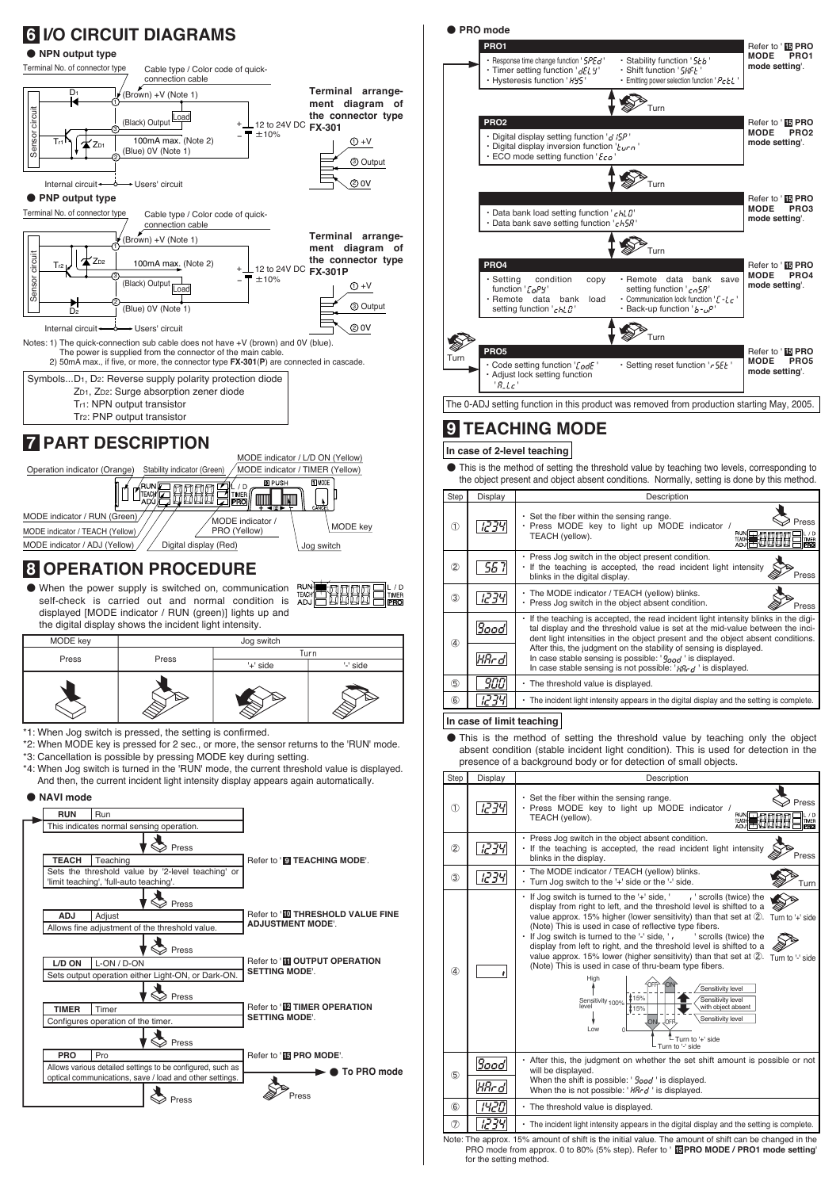



|               |                                                                                                     | Sensitivity level<br><b>J</b> orri<br>I ow<br>└ Turn to '+' side<br>- Turn to '-' side                      |  |  |  |  |  |  |  |
|---------------|-----------------------------------------------------------------------------------------------------|-------------------------------------------------------------------------------------------------------------|--|--|--|--|--|--|--|
| $\circledS$   | 9oodl                                                                                               | • After this, the judgment on whether the set shift amount is possible or not<br>will be displayed.         |  |  |  |  |  |  |  |
|               | HRr dl                                                                                              | When the shift is possible: ' <i>food</i> ' is displayed.<br>When the is not possible: 'HRrd' is displayed. |  |  |  |  |  |  |  |
| $\circledast$ | ושיאו                                                                                               | • The threshold value is displayed.                                                                         |  |  |  |  |  |  |  |
| $\circled7$   | שככ                                                                                                 | - The incident light intensity appears in the digital display and the setting is complete.                  |  |  |  |  |  |  |  |
|               | ote: The approx 15% amount of shift is the initial value. The amount of shift can be changed in the |                                                                                                             |  |  |  |  |  |  |  |

The approx. 15% amount of shift is the initial value. The amount of shift can be changed in the PRO mode from approx. 0 to 80% (5% step). Refer to ' **PRO MODE / PRO1 mode setting**' **15** for the setting method. Note: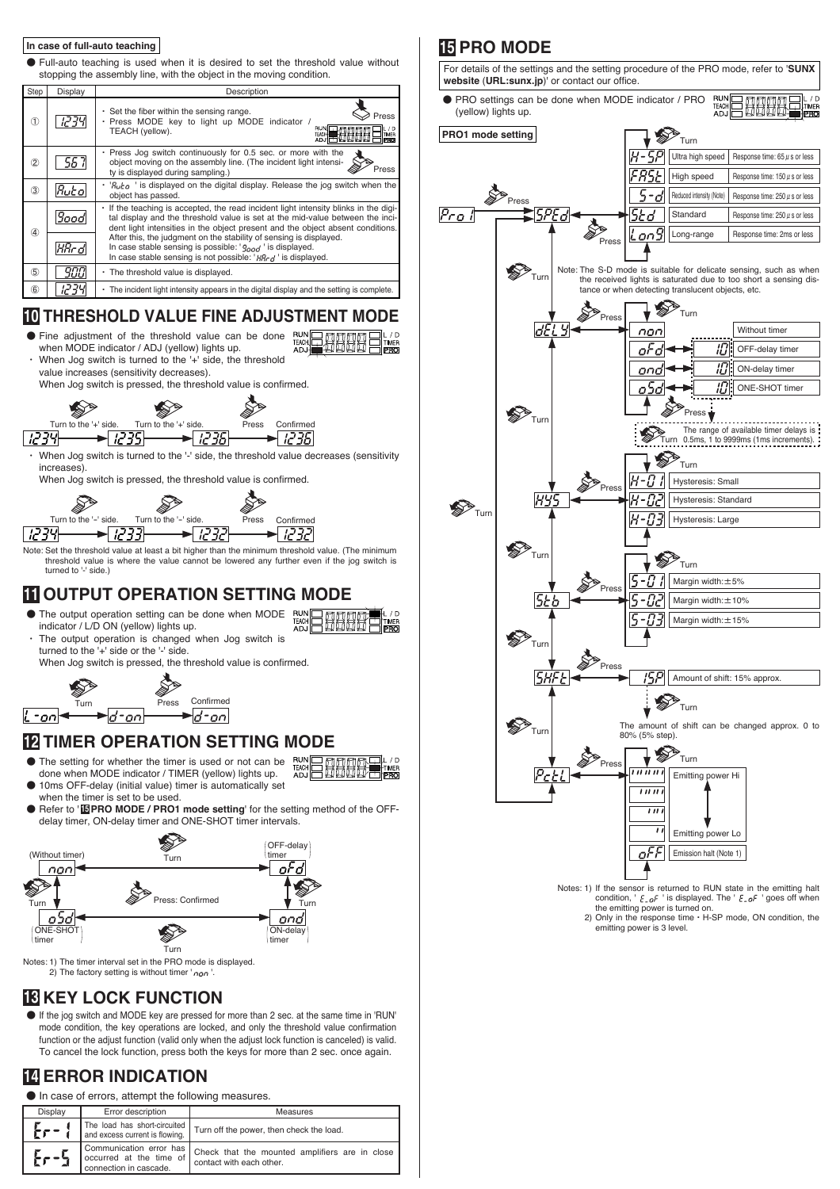#### **In case of full-auto teaching**

٨ Full-auto teaching is used when it is desired to set the threshold value without stopping the assembly line, with the object in the moving condition.

| Step          | Display  | Description                                                                                                                                                                                                                                           |
|---------------|----------|-------------------------------------------------------------------------------------------------------------------------------------------------------------------------------------------------------------------------------------------------------|
| Œ             | 1235     | . Set the fiber within the sensing range.<br>Press<br>· Press MODE key to light up MODE indicator /<br><b>RUN</b><br>TEACH (yellow).<br>TEAC <sub>3</sub><br>PRO                                                                                      |
| 2             | 557      | . Press Jog switch continuously for 0.5 sec. or more with the<br>object moving on the assembly line. (The incident light intensi-<br>Press<br>ty is displayed during sampling.)                                                                       |
| (3)           | $R$ utol | $\cdot$ ' $R_{\nu}$ ' is displayed on the digital display. Release the jog switch when the<br>object has passed.                                                                                                                                      |
| 4             | 9oodl    | If the teaching is accepted, the read incident light intensity blinks in the digi-<br>tal display and the threshold value is set at the mid-value between the inci-<br>dent light intensities in the object present and the object absent conditions. |
|               | KRr d    | After this, the judgment on the stability of sensing is displayed.<br>In case stable sensing is possible: $\frac{1}{2}$ $\frac{1}{2}$ is displayed.<br>In case stable sensing is not possible: $HR_{rd}$ ' is displayed.                              |
| (5)           | 900      | • The threshold value is displayed.                                                                                                                                                                                                                   |
| $\circledast$ | יריה     | • The incident light intensity appears in the digital display and the setting is complete.                                                                                                                                                            |

#### **10 THRESHOLD VALUE FINE ADJUSTMENT MODE**

- **RUM** ٨ Fine adjustment of the threshold value can be done when MODE indicator / ADJ (yellow) lights up. When Jog switch is turned to the '+' side, the threshold
- value increases (sensitivity decreases). When Jog switch is pressed, the threshold value is confirmed.



When Jog switch is turned to the '-' side, the threshold value decreases (sensitivity increases).

When Jog switch is pressed, the threshold value is confirmed.



Note: Set the threshold value at least a bit higher than the minimum threshold value. (The minimum threshold value is where the value cannot be lowered any further even if the jog switch is turned to '-' side.)

### **11 OUTPUT OPERATION SETTING MODE**



ÄD.

When Jog switch is pressed, the threshold value is confirmed.



### **12 TIMER OPERATION SETTING MODE**

- ٨ The setting for whether the timer is used or not can be ● 10ms OFF-delay (initial value) timer is automatically set done when MODE indicator / TIMER (yellow) lights up.
- when the timer is set to be used.
- Refer to '**IEPRO MODE / PRO1 mode setting'** for the setting method of the OFFdelay timer, ON-delay timer and ONE-SHOT timer intervals.



Notes: 1) The timer interval set in the PRO mode is displayed.<br>
2) The factory setting is without timer 'non '.

### **18 KEY LOCK FUNCTION**

٨ If the jog switch and MODE key are pressed for more than 2 sec. at the same time in 'RUN' mode condition, the key operations are locked, and only the threshold value confirmation function or the adjust function (valid only when the adjust lock function is canceled) is valid. To cancel the lock function, press both the keys for more than 2 sec. once again.

### **14 ERROR INDICATION**

 $\bullet$  In case of errors, attempt the following measures.

| Display                                                                                                            | Error description      | Measures                                                                                           |  |  |  |  |
|--------------------------------------------------------------------------------------------------------------------|------------------------|----------------------------------------------------------------------------------------------------|--|--|--|--|
| The load has short-circuited<br>Er-1<br>Turn off the power, then check the load.<br>and excess current is flowing. |                        |                                                                                                    |  |  |  |  |
| Er-5                                                                                                               | connection in cascade. | Communication error has Check that the mounted amplifiers are in close<br>contact with each other. |  |  |  |  |

### **15 PRO MODE**

For details of the settings and the setting procedure of the PRO mode, refer to '**SUNX website** (**URL:sunx.jp**)' or contact our office.

RUN<br>TEACH<br>AD ٨ PRO settings can be done when MODE indicator / PRO (yellow) lights up.

 $\bigotimes_{\text{Turn}}$ 





Notes: 1) If the sensor is returned to RUN state in the emitting halt condition, '  $\mathit{\mathop{\varepsilon_{-\mathit{o}}} F}$  ' is displayed. The '  $\mathit{\mathop{\varepsilon_{-\mathit{o}}} F}$  ' goes off when<br>the emitting power is turned on.

2) Only in the response time  $\cdot$  H-SP mode, ON condition, the emitting power is 3 level.